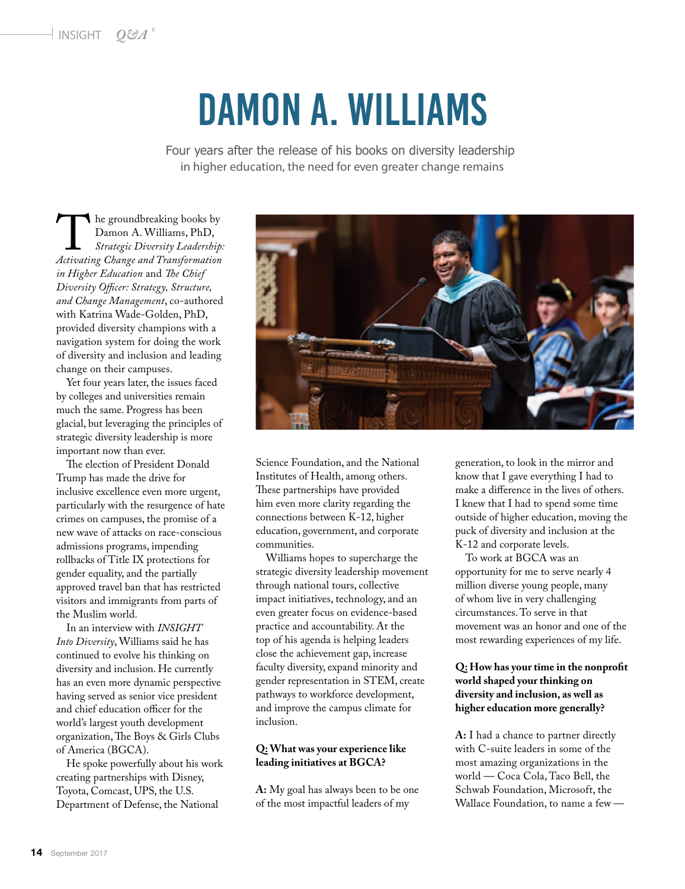# Damon A. Williams

Four years after the release of his books on diversity leadership in higher education, the need for even greater change remains

**Age of the groundbreaking books by Damon A. Williams, PhD,**<br>*Strategic Diversity Leadership:*<br>*Activating Change and Transformation* Damon A. Williams, PhD, *Strategic Diversity Leadership: in Higher Education* and *The Chief Diversity Ocer: Strategy, Structure, and Change Management*, co-authored with Katrina Wade-Golden, PhD, provided diversity champions with a navigation system for doing the work of diversity and inclusion and leading change on their campuses.

Yet four years later, the issues faced by colleges and universities remain much the same. Progress has been glacial, but leveraging the principles of strategic diversity leadership is more important now than ever.

The election of President Donald Trump has made the drive for inclusive excellence even more urgent, particularly with the resurgence of hate crimes on campuses, the promise of a new wave of attacks on race-conscious admissions programs, impending rollbacks of Title IX protections for gender equality, and the partially approved travel ban that has restricted visitors and immigrants from parts of the Muslim world.

In an interview with *INSIGHT Into Diversity*,Williams said he has continued to evolve his thinking on diversity and inclusion. He currently has an even more dynamic perspective having served as senior vice president and chief education officer for the world's largest youth development organization, The Boys & Girls Clubs of America (BGCA).

He spoke powerfully about his work creating partnerships with Disney, Toyota, Comcast, UPS, the U.S. Department of Defense, the National



Science Foundation, and the National Institutes of Health, among others. These partnerships have provided him even more clarity regarding the connections between K-12, higher education, government, and corporate communities.

Williams hopes to supercharge the strategic diversity leadership movement through national tours, collective impact initiatives, technology, and an even greater focus on evidence-based practice and accountability. At the top of his agenda is helping leaders close the achievement gap, increase faculty diversity, expand minority and gender representation in STEM, create pathways to workforce development, and improve the campus climate for inclusion.

#### **Q:What was your experience like leading initiatives at BGCA?**

**A:** My goal has always been to be one of the most impactful leaders of my

generation, to look in the mirror and know that I gave everything I had to make a difference in the lives of others. I knew that I had to spend some time outside of higher education, moving the puck of diversity and inclusion at the K-12 and corporate levels.

To work at BGCA was an opportunity for me to serve nearly 4 million diverse young people, many of whom live in very challenging circumstances.To serve in that movement was an honor and one of the most rewarding experiences of my life.

#### **Q:** How has your time in the nonprofit **world shaped your thinking on diversity and inclusion, as well as higher education more generally?**

**A:** I had a chance to partner directly with C-suite leaders in some of the most amazing organizations in the world — Coca Cola, Taco Bell, the Schwab Foundation, Microsoft, the Wallace Foundation, to name a few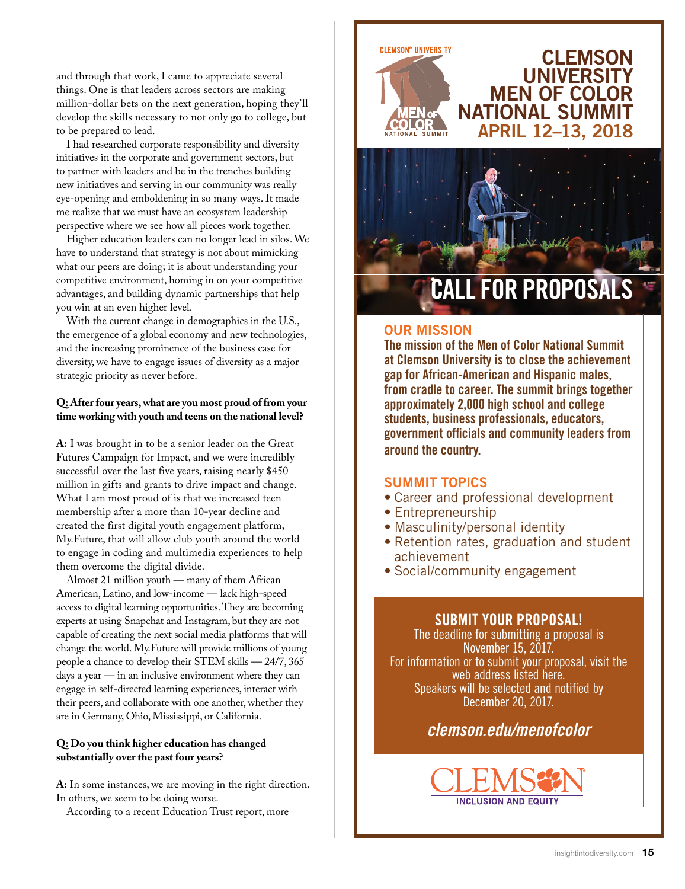and through that work, I came to appreciate several things. One is that leaders across sectors are making million-dollar bets on the next generation, hoping they'll develop the skills necessary to not only go to college, but to be prepared to lead.

I had researched corporate responsibility and diversity initiatives in the corporate and government sectors, but to partner with leaders and be in the trenches building new initiatives and serving in our community was really eye-opening and emboldening in so many ways. It made me realize that we must have an ecosystem leadership perspective where we see how all pieces work together.

Higher education leaders can no longer lead in silos. We have to understand that strategy is not about mimicking what our peers are doing; it is about understanding your competitive environment, homing in on your competitive advantages, and building dynamic partnerships that help you win at an even higher level.

With the current change in demographics in the U.S., the emergence of a global economy and new technologies, and the increasing prominence of the business case for diversity, we have to engage issues of diversity as a major strategic priority as never before.

#### **Q: After four years, what are you most proud of from your time working with youth and teens on the national level?**

**A:** I was brought in to be a senior leader on the Great Futures Campaign for Impact, and we were incredibly successful over the last five years, raising nearly \$450 million in gifts and grants to drive impact and change. What I am most proud of is that we increased teen membership after a more than 10-year decline and created the first digital youth engagement platform, My.Future, that will allow club youth around the world to engage in coding and multimedia experiences to help them overcome the digital divide.

Almost 21 million youth — many of them African American, Latino, and low-income — lack high-speed access to digital learning opportunities. They are becoming experts at using Snapchat and Instagram, but they are not capable of creating the next social media platforms that will change the world. My.Future will provide millions of young people a chance to develop their STEM skills — 24/7, 365 days a year — in an inclusive environment where they can engage in self-directed learning experiences, interact with their peers, and collaborate with one another, whether they are in Germany, Ohio, Mississippi, or California.

#### **Q: Do you think higher education has changed substantially over the past four years?**

**A:** In some instances, we are moving in the right direction. In others, we seem to be doing worse.

According to a recent Education Trust report, more



### **CLEMSON UNIVERSITY** MEN OF COLOR NATIONAL SUMMIT **ALCORDINAL SUMMIT APRIL 12-13, 2018**



# **FOR PROPOSAL**

#### OUR MISSION

The mission of the Men of Color National Summit at Clemson University is to close the achievement gap for African-American and Hispanic males, from cradle to career. The summit brings together approximately 2,000 high school and college students, business professionals, educators, government officials and community leaders from around the country.

#### SUMMIT TOPICS

- Career and professional development
- Entrepreneurship
- Masculinity/personal identity
- Retention rates, graduation and student achievement
- Social/community engagement

#### SUBMIT YOUR PROPOSAL!

The deadline for submitting a proposal is November 15, 2017. For information or to submit your proposal, visit the web address listed here. Speakers will be selected and notified by December 20, 2017.

## *clemson.edu/menofcolor*